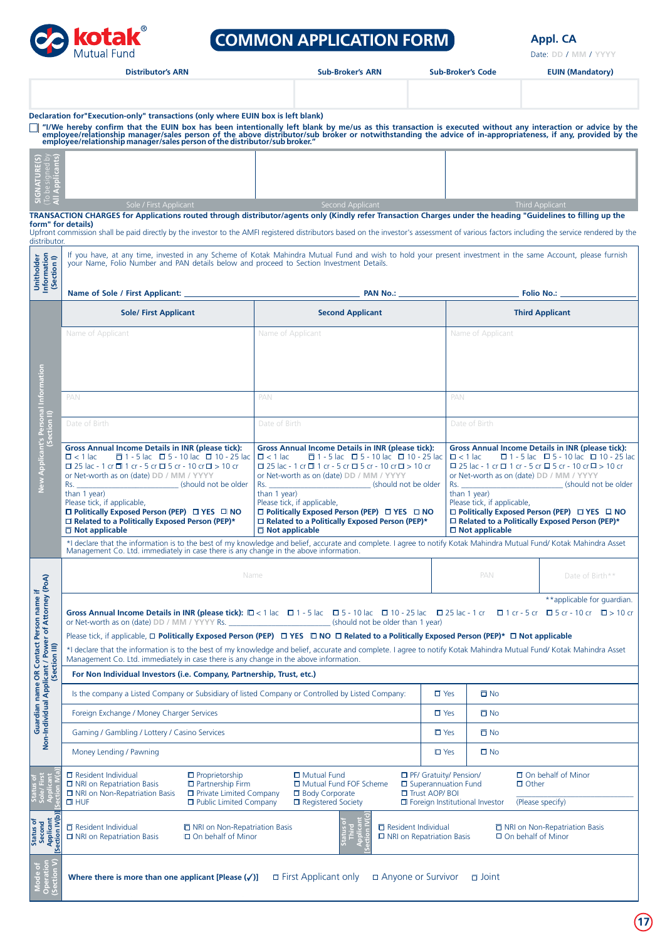

# **COMMON APPLICATION FORM Appl. CA**

Date: DD / MM / YYYY

|                                                                                               | <b>Distributor's ARN</b>                                                                                                                                                                                                                                |                                                                                                                                     | <b>Sub-Broker's ARN</b>                                                                                                           | <b>Sub-Broker's Code</b>                                 |                                             | <b>EUIN (Mandatory)</b>                                                                                               |  |
|-----------------------------------------------------------------------------------------------|---------------------------------------------------------------------------------------------------------------------------------------------------------------------------------------------------------------------------------------------------------|-------------------------------------------------------------------------------------------------------------------------------------|-----------------------------------------------------------------------------------------------------------------------------------|----------------------------------------------------------|---------------------------------------------|-----------------------------------------------------------------------------------------------------------------------|--|
|                                                                                               |                                                                                                                                                                                                                                                         |                                                                                                                                     |                                                                                                                                   |                                                          |                                             |                                                                                                                       |  |
|                                                                                               | Declaration for"Execution-only" transactions (only where EUIN box is left blank)                                                                                                                                                                        |                                                                                                                                     |                                                                                                                                   |                                                          |                                             |                                                                                                                       |  |
|                                                                                               | "I/We hereby confirm that the EUIN box has been intentionally left blank by me/us as this transaction is executed without any interaction or advice by the employee/relationship manager/sales person of the above distributor                          |                                                                                                                                     |                                                                                                                                   |                                                          |                                             |                                                                                                                       |  |
| jadı                                                                                          |                                                                                                                                                                                                                                                         |                                                                                                                                     |                                                                                                                                   |                                                          |                                             |                                                                                                                       |  |
| be<br>Ap<br><b>NSN</b>                                                                        | Sole / First Applicant                                                                                                                                                                                                                                  |                                                                                                                                     | Second Applicant                                                                                                                  |                                                          |                                             | Third Applicant                                                                                                       |  |
|                                                                                               | TRANSACTION CHARGES for Applications routed through distributor/agents only (Kindly refer Transaction Charges under the heading "Guidelines to filling up the<br>form" for details)                                                                     |                                                                                                                                     |                                                                                                                                   |                                                          |                                             |                                                                                                                       |  |
| distributor.                                                                                  | Upfront commission shall be paid directly by the investor to the AMFI registered distributors based on the investor's assessment of various factors including the service rendered by the                                                               |                                                                                                                                     |                                                                                                                                   |                                                          |                                             |                                                                                                                       |  |
| Unitholder<br>Information<br>(Section I)                                                      | If you have, at any time, invested in any Scheme of Kotak Mahindra Mutual Fund and wish to hold your present investment in the same Account, please furnish<br>your Name, Folio Number and PAN details below and proceed to Section Investment Details. |                                                                                                                                     |                                                                                                                                   |                                                          |                                             |                                                                                                                       |  |
|                                                                                               | Name of Sole / First Applicant: _                                                                                                                                                                                                                       |                                                                                                                                     | <b>PAN No.: _____</b>                                                                                                             |                                                          |                                             | <b>Folio No.:</b>                                                                                                     |  |
|                                                                                               | <b>Sole/ First Applicant</b>                                                                                                                                                                                                                            |                                                                                                                                     | <b>Second Applicant</b>                                                                                                           |                                                          |                                             | <b>Third Applicant</b>                                                                                                |  |
|                                                                                               | Name of Applicant                                                                                                                                                                                                                                       | Name of Applicant                                                                                                                   |                                                                                                                                   |                                                          | Name of Applicant                           |                                                                                                                       |  |
|                                                                                               |                                                                                                                                                                                                                                                         |                                                                                                                                     |                                                                                                                                   |                                                          |                                             |                                                                                                                       |  |
|                                                                                               |                                                                                                                                                                                                                                                         |                                                                                                                                     |                                                                                                                                   |                                                          |                                             |                                                                                                                       |  |
|                                                                                               |                                                                                                                                                                                                                                                         |                                                                                                                                     |                                                                                                                                   |                                                          |                                             |                                                                                                                       |  |
|                                                                                               | PAN                                                                                                                                                                                                                                                     | PAN                                                                                                                                 |                                                                                                                                   |                                                          | PAN                                         |                                                                                                                       |  |
| New Applicant's Personal Information<br>(Section II)                                          | Date of Birth<br>Date of Birth                                                                                                                                                                                                                          |                                                                                                                                     |                                                                                                                                   |                                                          | Date of Birth                               |                                                                                                                       |  |
|                                                                                               | <b>Gross Annual Income Details in INR (please tick):</b>                                                                                                                                                                                                | <b>Gross Annual Income Details in INR (please tick):</b>                                                                            |                                                                                                                                   | <b>Gross Annual Income Details in INR (please tick):</b> |                                             |                                                                                                                       |  |
|                                                                                               | $\Box$ 1 - 5 lac $\Box$ 5 - 10 lac $\Box$ 10 - 25 lac<br>$\Box$ < 1 lac<br>$\Box$ 25 lac - 1 cr $\Box$ 1 cr - 5 cr $\Box$ 5 cr - 10 cr $\Box$ > 10 cr                                                                                                   | $\Box$ 1 - 5 lac $\Box$ 5 - 10 lac $\Box$ 10 - 25 lac<br>$\Box$ 25 lac - 1 cr $\Box$ 1 cr - 5 cr $\Box$ 5 cr - 10 cr $\Box$ > 10 cr | $\Box$ 1 - 5 lac $\Box$ 5 - 10 lac $\Box$ 10 - 25 lac<br>$\Box$ < 1 lac<br>□ 25 lac - 1 cr □ 1 cr - 5 cr □ 5 cr - 10 cr □ > 10 cr |                                                          |                                             |                                                                                                                       |  |
|                                                                                               | or Net-worth as on (date) DD / MM / YYYY<br>or Net-worth as on (date) DD / MM / YYYY<br>Rs. (should not be older                                                                                                                                        |                                                                                                                                     |                                                                                                                                   |                                                          | or Net-worth as on (date) DD / MM / YYYY    |                                                                                                                       |  |
|                                                                                               | than 1 year)<br>Please tick, if applicable,                                                                                                                                                                                                             | than 1 year)<br>Please tick, if applicable,                                                                                         |                                                                                                                                   |                                                          | than 1 year)<br>Please tick, if applicable, |                                                                                                                       |  |
|                                                                                               | $\Box$ Politically Exposed Person (PEP) $\Box$ YES $\Box$ NO<br>□ Related to a Politically Exposed Person (PEP)*                                                                                                                                        | $\Box$ Politically Exposed Person (PEP) $\Box$ YES $\Box$ NO<br>□ Related to a Politically Exposed Person (PEP)*                    |                                                                                                                                   |                                                          |                                             | $\Box$ Politically Exposed Person (PEP) $\Box$ YES $\Box$ NO<br>$\Box$ Related to a Politically Exposed Person (PEP)* |  |
|                                                                                               | $\Box$ Not applicable<br>*I declare that the information is to the best of my knowledge and belief, accurate and complete. I agree to notify Kotak Mahindra Mutual Fund/ Kotak Mahindra Asset                                                           | $\Box$ Not applicable                                                                                                               |                                                                                                                                   |                                                          | $\Box$ Not applicable                       |                                                                                                                       |  |
|                                                                                               | Management Co. Ltd. immediately in case there is any change in the above information.                                                                                                                                                                   |                                                                                                                                     |                                                                                                                                   |                                                          |                                             |                                                                                                                       |  |
|                                                                                               | Name                                                                                                                                                                                                                                                    |                                                                                                                                     |                                                                                                                                   |                                                          | PAN                                         | Date of Birth**                                                                                                       |  |
|                                                                                               |                                                                                                                                                                                                                                                         |                                                                                                                                     |                                                                                                                                   |                                                          |                                             |                                                                                                                       |  |
|                                                                                               | **applicable for quardian.<br>Gross Annual Income Details in INR (please tick): $\Box$ < 1 lac $\Box$ 1 - 5 lac $\Box$ 5 - 10 lac $\Box$ 10 - 25 lac $\Box$ 25 lac - 1 cr $\Box$ 1 cr - 5 cr $\Box$ 5 cr - 10 cr $\Box$ > 10 cr                         |                                                                                                                                     |                                                                                                                                   |                                                          |                                             |                                                                                                                       |  |
|                                                                                               | or Net-worth as on (date) DD / MM / YYYY Rs.                                                                                                                                                                                                            |                                                                                                                                     | (should not be older than 1 year)                                                                                                 |                                                          |                                             |                                                                                                                       |  |
|                                                                                               | *I declare that the information is to the best of my knowledge and belief, accurate and complete. I agree to notify Kotak Mahindra Mutual Fund/ Kotak Mahindra Asset                                                                                    |                                                                                                                                     |                                                                                                                                   |                                                          |                                             |                                                                                                                       |  |
| (Section III)                                                                                 | Management Co. Ltd. immediately in case there is any change in the above information.                                                                                                                                                                   |                                                                                                                                     |                                                                                                                                   |                                                          |                                             |                                                                                                                       |  |
| Guardian name OR Contact Person name if<br>Non-Individual Applicant / Power of Attorney (PoA) | For Non Individual Investors (i.e. Company, Partnership, Trust, etc.)                                                                                                                                                                                   |                                                                                                                                     |                                                                                                                                   |                                                          |                                             |                                                                                                                       |  |
|                                                                                               | Is the company a Listed Company or Subsidiary of listed Company or Controlled by Listed Company:                                                                                                                                                        |                                                                                                                                     |                                                                                                                                   | $\square$ Yes                                            | $\square$ No                                |                                                                                                                       |  |
|                                                                                               | Foreign Exchange / Money Charger Services                                                                                                                                                                                                               |                                                                                                                                     |                                                                                                                                   | $\square$ Yes                                            | $\overline{\Box}$ No                        |                                                                                                                       |  |
|                                                                                               | Gaming / Gambling / Lottery / Casino Services                                                                                                                                                                                                           |                                                                                                                                     |                                                                                                                                   | $\square$ Yes                                            | $\square$ No                                |                                                                                                                       |  |
|                                                                                               | Money Lending / Pawning                                                                                                                                                                                                                                 |                                                                                                                                     |                                                                                                                                   | $\square$ Yes                                            | $\square$ No                                |                                                                                                                       |  |
|                                                                                               | □ Resident Individual<br>$\Box$ Proprietorship<br>□ NRI on Repatriation Basis<br>$\Box$ Partnership Firm                                                                                                                                                | <b>D</b> Mutual Fund<br>□ Mutual Fund FOF Scheme                                                                                    |                                                                                                                                   | PF/ Gratuity/ Pension/                                   | □ Superannuation Fund                       | □ On behalf of Minor<br>$\Box$ Other                                                                                  |  |
|                                                                                               | □ NRI on Non-Repatriation Basis<br>□ Private Limited Company<br>□ Public Limited Company<br>$\Box$ HUF                                                                                                                                                  | <b>ID</b> Body Corporate<br>□ Registered Society                                                                                    |                                                                                                                                   | Trust AOP/BOI                                            | □ Foreign Institutional Investor            | (Please specify)                                                                                                      |  |
|                                                                                               |                                                                                                                                                                                                                                                         |                                                                                                                                     |                                                                                                                                   |                                                          |                                             |                                                                                                                       |  |
| Section IV(b)]<br>Applicant<br>Status of<br>Second                                            | $\square$ Resident Individual<br>□ NRI on Non-Repatriation Basis<br>□ NRI on Repatriation Basis<br>$\Box$ On behalf of Minor                                                                                                                            |                                                                                                                                     | ttion IV(c)<br>pplican<br>□ Resident Individual<br>□ NRI on Repatriation Basis                                                    |                                                          |                                             | □ NRI on Non-Repatriation Basis<br>□ On behalf of Minor                                                               |  |
|                                                                                               |                                                                                                                                                                                                                                                         |                                                                                                                                     |                                                                                                                                   |                                                          |                                             |                                                                                                                       |  |
|                                                                                               | Where there is more than one applicant [Please $(\checkmark)$ ]                                                                                                                                                                                         | □ First Applicant only                                                                                                              | □ Anyone or Survivor                                                                                                              |                                                          | $\Box$ Joint                                |                                                                                                                       |  |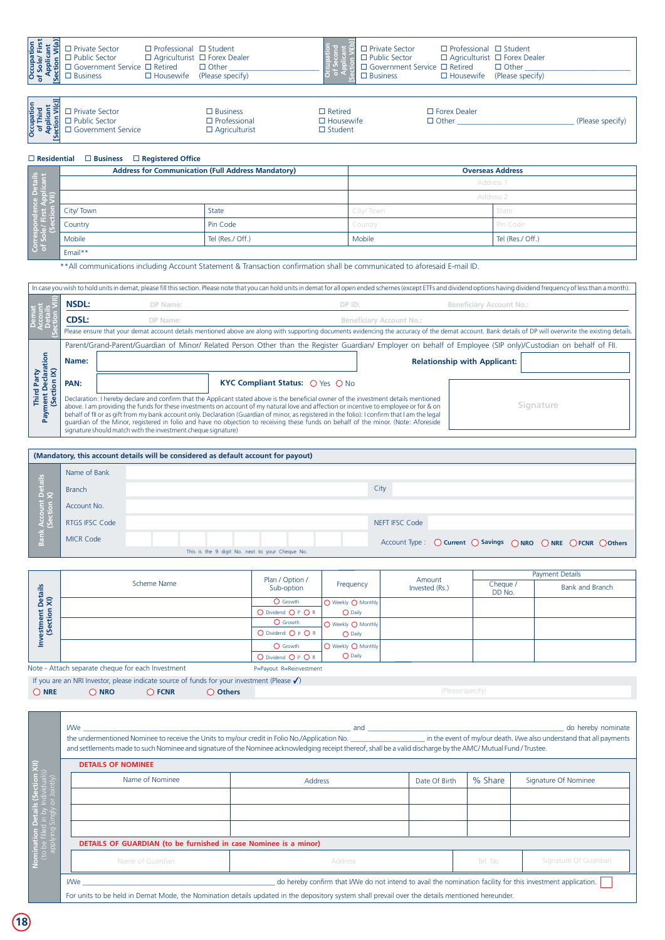| Occupation<br>of Sole/ First<br>Applicant<br>[Section VI(a)] | □ Private Sector<br>$\Box$ Public Sector<br>$\Box$ Government Service $\Box$ Retired<br>$\Box$ Business | $\Box$ Professional $\Box$ Student<br>$\Box$ Housewife | $\Box$ Agriculturist $\Box$ Forex Dealer<br>$\Box$ Other<br>(Please specify) | $\Box$ Private Sector<br>$\Box$ Public Sector<br>$\Box$ Business | $\Box$ Professional $\Box$ Student<br>$\Box$ Agriculturist $\Box$ Forex Dealer<br>$\Box$ Government Service $\Box$ Retired<br>$\Box$ Other<br>$\Box$ Housewife (Please specify) |                  |
|--------------------------------------------------------------|---------------------------------------------------------------------------------------------------------|--------------------------------------------------------|------------------------------------------------------------------------------|------------------------------------------------------------------|---------------------------------------------------------------------------------------------------------------------------------------------------------------------------------|------------------|
| Occupation<br>of Third<br>Applicant<br>Section VI(c)]        | □ Private Sector<br>$\Box$ Public Sector<br>□ Government Service                                        |                                                        | $\Box$ Business<br>$\Box$ Professional<br>$\Box$ Agriculturist               | $\Box$ Retired<br>$\Box$ Housewife<br>$\Box$ Student             | $\Box$ Forex Dealer<br>$\Box$ Other                                                                                                                                             | (Please specify) |
| $\Box$ Residential                                           | $\square$ Business                                                                                      | $\Box$ Reaistered Office                               |                                                                              |                                                                  |                                                                                                                                                                                 |                  |

| ਨ<br>Occupation<br>of Third<br>Applicant<br>Section VI(c)<br>$\Box$ Private Sector<br>$\Box$ Forex Dealer<br>$\square$ Business<br>$\Box$ Retired<br>$\square$ Professional<br>□ Public Sector<br>□ Housewife<br>コ Other<br>(Please specify)<br>Government Service<br>$\square$ Student<br>$\square$ Agriculturist<br>$\sqrt{ }$ |
|----------------------------------------------------------------------------------------------------------------------------------------------------------------------------------------------------------------------------------------------------------------------------------------------------------------------------------|
|----------------------------------------------------------------------------------------------------------------------------------------------------------------------------------------------------------------------------------------------------------------------------------------------------------------------------------|

|                                  |           | <b>Address for Communication (Full Address Mandatory)</b> | <b>Overseas Address</b> |                  |  |
|----------------------------------|-----------|-----------------------------------------------------------|-------------------------|------------------|--|
|                                  |           |                                                           |                         | Address 1        |  |
| ce Details<br>Applicant<br>VIII) |           |                                                           | Address 2               |                  |  |
|                                  | City/Town | State                                                     | City/Town               | State            |  |
| 결순병                              | Country   | Pin Code                                                  | Country                 | Pin Code         |  |
| Corres<br>of So                  | Mobile    | Tel (Res./ Off.)                                          | Mobile                  | Tel (Res./ Off.) |  |
|                                  | Email**   |                                                           |                         |                  |  |

\*\*All communications including Account Statement & Transaction confirmation shall be communicated to aforesaid E-mail ID.

|                                                                                                                                                                                                         | In case you wish to hold units in demat, please fill this section. Please note that you can hold units in demat for all open ended schemes (except ETFs and dividend options having dividend frequency of less than a month). |                                                                                                                                                                                                                                                                                                                                                                                                                                                                                                                                                                                                                                         |                                 |                                     |           |  |  |
|---------------------------------------------------------------------------------------------------------------------------------------------------------------------------------------------------------|-------------------------------------------------------------------------------------------------------------------------------------------------------------------------------------------------------------------------------|-----------------------------------------------------------------------------------------------------------------------------------------------------------------------------------------------------------------------------------------------------------------------------------------------------------------------------------------------------------------------------------------------------------------------------------------------------------------------------------------------------------------------------------------------------------------------------------------------------------------------------------------|---------------------------------|-------------------------------------|-----------|--|--|
|                                                                                                                                                                                                         | <b>NSDL:</b>                                                                                                                                                                                                                  | DP Name:<br>DP ID:                                                                                                                                                                                                                                                                                                                                                                                                                                                                                                                                                                                                                      |                                 | Beneficiary Account No.:            |           |  |  |
|                                                                                                                                                                                                         | <b>CDSL:</b>                                                                                                                                                                                                                  | DP Name:                                                                                                                                                                                                                                                                                                                                                                                                                                                                                                                                                                                                                                | <b>Beneficiary Account No.:</b> |                                     |           |  |  |
| Please ensure that your demat account details mentioned above are along with supporting documents evidencing the accuracy of the demat account. Bank details of DP will overwrite the existing details. |                                                                                                                                                                                                                               |                                                                                                                                                                                                                                                                                                                                                                                                                                                                                                                                                                                                                                         |                                 |                                     |           |  |  |
|                                                                                                                                                                                                         |                                                                                                                                                                                                                               | Parent/Grand-Parent/Guardian of Minor/ Related Person Other than the Register Guardian/ Employer on behalf of Employee (SIP only)/Custodian on behalf of FII.                                                                                                                                                                                                                                                                                                                                                                                                                                                                           |                                 |                                     |           |  |  |
| tion                                                                                                                                                                                                    | Name:                                                                                                                                                                                                                         |                                                                                                                                                                                                                                                                                                                                                                                                                                                                                                                                                                                                                                         |                                 | <b>Relationship with Applicant:</b> |           |  |  |
| န<br>÷                                                                                                                                                                                                  | PAN:                                                                                                                                                                                                                          | KYC Compliant Status: ○ Yes ○ No                                                                                                                                                                                                                                                                                                                                                                                                                                                                                                                                                                                                        |                                 |                                     |           |  |  |
| Third<br>ment<br>(Sect<br>Pay                                                                                                                                                                           |                                                                                                                                                                                                                               | Declaration: I hereby declare and confirm that the Applicant stated above is the beneficial owner of the investment details mentioned<br>above. I am providing the funds for these investments on account of my natural love and affection or incentive to employee or for & on<br>behalf of fil or as gift from my bank account only. Declaration (Guardian of minor, as registered in the folio): I confirm that I am the legal<br>quardian of the Minor, registered in folio and have no objection to receiving these funds on behalf of the minor. (Note: Aforeside<br>signature should match with the investment cheque signature) |                                 |                                     | Signature |  |  |

|                 |                  | (Mandatory, this account details will be considered as default account for payout) |  |
|-----------------|------------------|------------------------------------------------------------------------------------|--|
|                 | Name of Bank     |                                                                                    |  |
|                 | <b>Branch</b>    | City                                                                               |  |
|                 | Account No.      |                                                                                    |  |
| Account Details | RTGS IFSC Code   | NEFT IFSC Code                                                                     |  |
| Bank            | <b>MICR Code</b> | Account Type : ○ Current ○ Savings ○ NRO ○ NRE ○ FCNR ○ Others                     |  |
|                 |                  | This is the 9 digit No. next to your Cheque No.                                    |  |

|                                                   |             | Plan / Option /         | Amount             |                | <b>Payment Details</b> |                        |  |
|---------------------------------------------------|-------------|-------------------------|--------------------|----------------|------------------------|------------------------|--|
| estment Details<br>(Section XI)                   | Scheme Name | Sub-option              | Frequency          | Invested (Rs.) | Cheque /<br>DD No.     | <b>Bank and Branch</b> |  |
|                                                   |             | O Growth                | O Weekly O Monthly |                |                        |                        |  |
|                                                   |             | $O$ Dividend $O P$ $OR$ | $\bigcirc$ Daily   |                |                        |                        |  |
|                                                   |             | O Growth                | O Weekly O Monthly |                |                        |                        |  |
|                                                   |             | O Dividend O P O R      | $\bigcirc$ Daily   |                |                        |                        |  |
|                                                   |             | O Growth                | O Weekly O Monthly |                |                        |                        |  |
|                                                   |             | O Dividend O P O R      | O Daily            |                |                        |                        |  |
| Note - Attach separate cheque for each Investment |             | P=Payout R=Reinvestment |                    |                |                        |                        |  |

÷

If you are an NRI Investor, please indicate source of funds for your investment (Please)

|            |                 |      | The you are an intri-investor, please indicate source of funds for your investment (Please V ). |  |
|------------|-----------------|------|-------------------------------------------------------------------------------------------------|--|
| <b>NRE</b> | N <sub>RO</sub> | FCNR | Others                                                                                          |  |

| <b>DETAILS OF NOMINEE</b>                                        |                |               |         |                       |
|------------------------------------------------------------------|----------------|---------------|---------|-----------------------|
| Name of Nominee                                                  | <b>Address</b> | Date Of Birth | % Share | Signature Of Nominee  |
|                                                                  |                |               |         |                       |
|                                                                  |                |               |         |                       |
|                                                                  |                |               |         |                       |
| DETAILS OF GUARDIAN (to be furnished in case Nominee is a minor) |                |               |         |                       |
| Name of Guardian                                                 | Address        |               | Tel. No | Signature Of Guardian |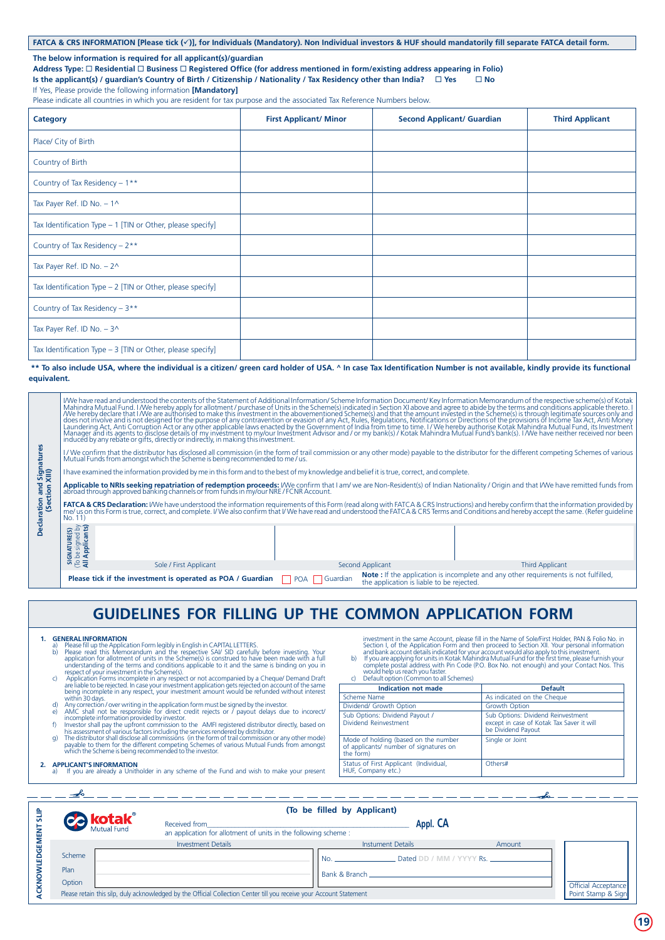### **FATCA & CRS INFORMATION [Please tick (**ü**)], for Individuals (Mandatory). Non Individual investors & HUF should mandatorily fill separate FATCA detail form.**

#### **The below information is required for all applicant(s)/guardian**

**Address Type:** ¨ **Residential** ¨ **Business** ¨ **Registered Office (for address mentioned in form/existing address appearing in Folio)**

**Is the applicant(s) / guardian's Country of Birth / Citizenship / Nationality / Tax Residency other than India? □ Yes □ No** 

### If Yes, Please provide the following information **[Mandatory]**

Please indicate all countries in which you are resident for tax purpose and the associated Tax Reference Numbers below.

| <b>Category</b>                                              | <b>First Applicant/ Minor</b> | <b>Second Applicant/ Guardian</b> | <b>Third Applicant</b> |
|--------------------------------------------------------------|-------------------------------|-----------------------------------|------------------------|
| Place/ City of Birth                                         |                               |                                   |                        |
| Country of Birth                                             |                               |                                   |                        |
| Country of Tax Residency - 1**                               |                               |                                   |                        |
| Tax Payer Ref. ID No. $-1^{\circ}$                           |                               |                                   |                        |
| Tax Identification Type - 1 [TIN or Other, please specify]   |                               |                                   |                        |
| Country of Tax Residency - 2**                               |                               |                                   |                        |
| Tax Payer Ref. ID No. $-2^{\wedge}$                          |                               |                                   |                        |
| Tax Identification Type $- 2$ [TIN or Other, please specify] |                               |                                   |                        |
| Country of Tax Residency - 3**                               |                               |                                   |                        |
| Tax Payer Ref. ID No. $-30$                                  |                               |                                   |                        |
| Tax Identification Type - 3 [TIN or Other, please specify]   |                               |                                   |                        |

#### **\*\* To also include USA, where the individual is a citizen/ green card holder of USA. ^ In case Tax Identification Number is not available, kindly provide its functional equivalent.**

|                                                                                                                                                                                                                                                                        | IMe have read and understood the contents of the Statement of Additional Information/ Scheme Information Document/ Key Information Memorandum of the respective scheme(s) of Kotak<br>Mahindra Mutual Fund. I MVe hereby apply fo<br>The discussion of the propose of any contravention or evasion of any Act, Rules, Regulations, Notifications or Directions of the primate Scheme (s) is through legitimate sources only and<br>The does not involve and is not des<br>induced by any rebate or gifts, directly or indirectly, in making this investment. |                                                                                                                                                                                                                                 |                |                                           |                                                                                     |  |
|------------------------------------------------------------------------------------------------------------------------------------------------------------------------------------------------------------------------------------------------------------------------|--------------------------------------------------------------------------------------------------------------------------------------------------------------------------------------------------------------------------------------------------------------------------------------------------------------------------------------------------------------------------------------------------------------------------------------------------------------------------------------------------------------------------------------------------------------|---------------------------------------------------------------------------------------------------------------------------------------------------------------------------------------------------------------------------------|----------------|-------------------------------------------|-------------------------------------------------------------------------------------|--|
| l Signatures<br>XIII)                                                                                                                                                                                                                                                  |                                                                                                                                                                                                                                                                                                                                                                                                                                                                                                                                                              | I / We confirm that the distributor has disclosed all commission (in the form of trail commission or any other mode) payable to the distributor for the different competing Schemes of various<br>  Mutual Funds from amongst w |                |                                           |                                                                                     |  |
|                                                                                                                                                                                                                                                                        | I have examined the information provided by me in this form and to the best of my knowledge and belief it is true, correct, and complete.                                                                                                                                                                                                                                                                                                                                                                                                                    |                                                                                                                                                                                                                                 |                |                                           |                                                                                     |  |
| <b>Pue</b>                                                                                                                                                                                                                                                             | Applicable to NRIs seeking repatriation of redemption proceeds: I/We confirm that I am/we are Non-Resident(s) of Indian Nationality / Origin and that I/We have remitted funds from abroad through approved banking channels o                                                                                                                                                                                                                                                                                                                               |                                                                                                                                                                                                                                 |                |                                           |                                                                                     |  |
| ration and<br>(Section<br>FATCA & CRS Declaration: I/We have understood the information requirements of this Form (read along with FATCA & CRS Instructions) and hereby confirm that the information provided by<br>me/us on this Form is true, correct, an<br>No. 11) |                                                                                                                                                                                                                                                                                                                                                                                                                                                                                                                                                              |                                                                                                                                                                                                                                 |                |                                           |                                                                                     |  |
|                                                                                                                                                                                                                                                                        | be signed by<br>  Applicants)<br>ATURE(S)<br>중                                                                                                                                                                                                                                                                                                                                                                                                                                                                                                               |                                                                                                                                                                                                                                 |                |                                           |                                                                                     |  |
|                                                                                                                                                                                                                                                                        | ਕੋළπ                                                                                                                                                                                                                                                                                                                                                                                                                                                                                                                                                         | Sole / First Applicant                                                                                                                                                                                                          |                | Second Applicant                          | <b>Third Applicant</b>                                                              |  |
|                                                                                                                                                                                                                                                                        |                                                                                                                                                                                                                                                                                                                                                                                                                                                                                                                                                              | Please tick if the investment is operated as POA / Guardian                                                                                                                                                                     | POA   Guardian | the application is liable to be rejected. | Note: If the application is incomplete and any other requirements is not fulfilled, |  |

## **GUIDELINES FOR FILLING UP THE COMMON APPLICATION FORM**

#### **1. GENERAL INFORMATION**

- 
- 
- a)<br>
Please read this Application Form legibly in Funglish in CAPITAL LETTERS.<br>
ID Please read this Memorandum and the respective SAV SID carefully before investing. Your<br>
application for allotment of units in the Scheme(s)
	-
	-
	-

Ł

- **2. APPLICANT'S INFORMATION** a) If you are already a Unitholder in any scheme of the Fund and wish to make your present
- investment in the same Account, please fill in the Name of SoleFrist Holder, PAN & Folio No. in<br>Section 1, of the Application Form and then proceed to Section XII. Your personal information<br>and bank account details indicat
	-

| would help us reach you faster.<br>Default option (Common to all Schemes)<br>C)             | Complete postal addition with I in Code (i.o. Dox No. Hot enough) and your Contact Nos. This          |
|---------------------------------------------------------------------------------------------|-------------------------------------------------------------------------------------------------------|
| <b>Indication not made</b>                                                                  | <b>Default</b>                                                                                        |
| Scheme Name                                                                                 | As indicated on the Cheque                                                                            |
| Dividend/ Growth Option                                                                     | Growth Option                                                                                         |
| Sub Options: Dividend Payout /<br>Dividend Reinvestment                                     | Sub Options: Dividend Reinvestment<br>except in case of Kotak Tax Saver it will<br>be Dividend Payout |
| Mode of holding (based on the number<br>of applicants/ number of signatures on<br>the form) | Single or Joint                                                                                       |
| Status of First Applicant (Individual,<br>HUF, Company etc.)                                | Others#                                                                                               |
|                                                                                             |                                                                                                       |

| 응 |                   | (To be filled by Applicant)                                                                                          |                                       |        |  |  |  |  |  |
|---|-------------------|----------------------------------------------------------------------------------------------------------------------|---------------------------------------|--------|--|--|--|--|--|
|   | <b>Co kotak</b> ® | Received from<br>an application for allotment of units in the following scheme :                                     |                                       |        |  |  |  |  |  |
| 쁑 |                   | <b>Investment Details</b>                                                                                            | <b>Instument Details</b>              | Amount |  |  |  |  |  |
| 윤 | Scheme            |                                                                                                                      | Dated DD / MM / YYYY Rs.<br><b>No</b> |        |  |  |  |  |  |
|   | Plan              |                                                                                                                      |                                       |        |  |  |  |  |  |
|   | Option            | Please retain this silp, duly acknowledged by the Official Collection Center till you receive your Account Statement |                                       |        |  |  |  |  |  |